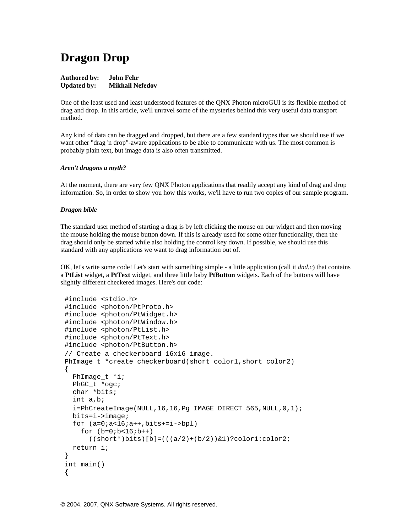# **Dragon Drop**

## **Authored by: John Fehr Updated by: Mikhail Nefedov**

One of the least used and least understood features of the QNX Photon microGUI is its flexible method of drag and drop. In this article, we'll unravel some of the mysteries behind this very useful data transport method.

Any kind of data can be dragged and dropped, but there are a few standard types that we should use if we want other "drag 'n drop"-aware applications to be able to communicate with us. The most common is probably plain text, but image data is also often transmitted.

## *Aren't dragons a myth?*

At the moment, there are very few QNX Photon applications that readily accept any kind of drag and drop information. So, in order to show you how this works, we'll have to run two copies of our sample program.

## *Dragon bible*

The standard user method of starting a drag is by left clicking the mouse on our widget and then moving the mouse holding the mouse button down. If this is already used for some other functionality, then the drag should only be started while also holding the control key down. If possible, we should use this standard with any applications we want to drag information out of.

OK, let's write some code! Let's start with something simple - a little application (call it *dnd.c*) that contains a **PtList** widget, a **PtText** widget, and three little baby **PtButton** widgets. Each of the buttons will have slightly different checkered images. Here's our code:

```
 #include <stdio.h> 
 #include <photon/PtProto.h> 
 #include <photon/PtWidget.h> 
 #include <photon/PtWindow.h> 
 #include <photon/PtList.h> 
 #include <photon/PtText.h> 
 #include <photon/PtButton.h> 
 // Create a checkerboard 16x16 image. 
PhImage t *create checkerboard(short color1,short color2)
\{ PhImage_t *i; 
  PhGC_t *ogc; 
   char *bits; 
   int a,b; 
   i=PhCreateImage(NULL,16,16,Pg_IMAGE_DIRECT_565,NULL,0,1); 
  bits=i->image; 
  for (a=0ia<16ia++,bits+=i->bpl)for (b=0; b<16; b++)((short*)bits)[b] = ((a/2)+(b/2))&1?color1:color2;
  return i; 
 } 
 int main() 
 {
```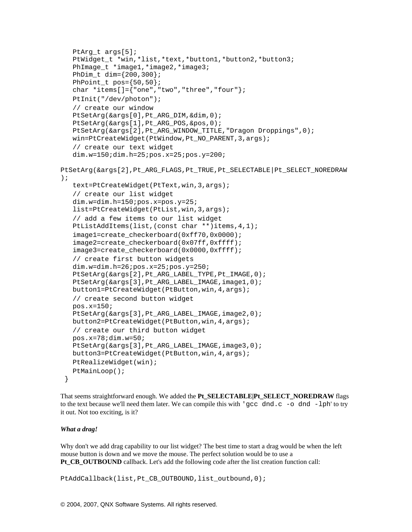```
PtArg t args[5];
    PtWidget_t *win,*list,*text,*button1,*button2,*button3; 
    PhImage_t *image1,*image2,*image3; 
    PhDim_t dim={200,300}; 
   PhPoint t pos=\{50,50\};
   char *items[]={"one","two","three","four"}; 
    PtInit("/dev/photon"); 
    // create our window 
   PtSetArg(&args[0],Pt_ARG_DIM,&dim,0); 
   PtSetArg(&args[1], Pt_ARG_POS, &pos, 0);
    PtSetArg(&args[2],Pt_ARG_WINDOW_TITLE,"Dragon Droppings",0); 
  win=PtCreateWidget(PtWindow,Pt_NO_PARENT,3,args);
    // create our text widget 
   dim.w=150;dim.h=25;pos.x=25;pos.y=200; 
PtSetArg(&args[2],Pt_ARG_FLAGS,Pt_TRUE,Pt_SELECTABLE|Pt_SELECT_NOREDRAW
); 
    text=PtCreateWidget(PtText,win,3,args); 
    // create our list widget 
   dim.w=dim.h=150;pos.x=pos.y=25;
    list=PtCreateWidget(PtList,win,3,args); 
    // add a few items to our list widget 
   PtListAddItems(list,(const char **)items, 4, 1);
   image1=create_checkerboard(0xff70,0x0000);
   image2=create_checkerboard(0x07ff,0xffff);
    image3=create_checkerboard(0x0000,0xffff); 
    // create first button widgets 
  dim.w=dim.h=26;pos.x=25;pos.y=250;
   PtSetArg(&args[2], Pt ARG LABEL TYPE, Pt IMAGE, 0);
  PtSetArg(&args[3], Pt ARG LABEL IMAGE, image1, 0);
   button1=PtCreateWidget(PtButton,win,4,args); 
    // create second button widget 
   pos.x=150; 
  PtSetArg(&args[3], Pt ARG LABEL IMAGE, image2,0);
   button2=PtCreateWidget(PtButton,win,4,args); 
    // create our third button widget 
   pos.x=78;dim.w=50; 
   PtSetArg(&args[3], Pt ARG LABEL IMAGE, image3,0);
   button3=PtCreateWidget(PtButton,win,4,args); 
   PtRealizeWidget(win); 
   PtMainLoop(); 
  }
```
That seems straightforward enough. We added the **Pt\_SELECTABLE|Pt\_SELECT\_NOREDRAW** flags to the text because we'll need them later. We can compile this with 'gcc dnd.c -o dnd -lph' to try it out. Not too exciting, is it?

#### *What a drag!*

Why don't we add drag capability to our list widget? The best time to start a drag would be when the left mouse button is down and we move the mouse. The perfect solution would be to use a **Pt\_CB\_OUTBOUND** callback. Let's add the following code after the list creation function call:

PtAddCallback(list,Pt\_CB\_OUTBOUND,list\_outbound,0);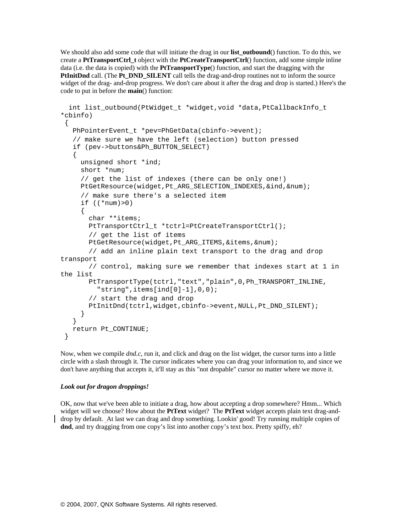We should also add some code that will initiate the drag in our **list\_outbound**() function. To do this, we create a **PtTransportCtrl\_t** object with the **PtCreateTransportCtrl**() function, add some simple inline data (i.e. the data is copied) with the **PtTransportType**() function, and start the dragging with the **PtInitDnd** call. (The **Pt\_DND\_SILENT** call tells the drag-and-drop routines not to inform the source widget of the drag- and-drop progress. We don't care about it after the drag and drop is started.) Here's the code to put in before the **main**() function:

```
 int list_outbound(PtWidget_t *widget,void *data,PtCallbackInfo_t 
*cbinfo) 
 { 
   PhPointerEvent t *pev=PhGetData(cbinfo->event);
    // make sure we have the left (selection) button pressed 
    if (pev->buttons&Ph_BUTTON_SELECT) 
    { 
      unsigned short *ind; 
      short *num; 
      // get the list of indexes (there can be only one!) 
      PtGetResource(widget,Pt_ARG_SELECTION_INDEXES,&ind,&num); 
      // make sure there's a selected item 
     if ((*num)>0) { 
        char **items; 
        PtTransportCtrl_t *tctrl=PtCreateTransportCtrl(); 
        // get the list of items 
        PtGetResource(widget,Pt_ARG_ITEMS,&items,&num); 
        // add an inline plain text transport to the drag and drop 
transport 
        // control, making sure we remember that indexes start at 1 in 
the list 
        PtTransportType(tctrl,"text","plain",0,Ph_TRANSPORT_INLINE, 
         "string", items[ind[0]-1], 0, 0;
        // start the drag and drop 
        PtInitDnd(tctrl,widget,cbinfo->event,NULL,Pt_DND_SILENT); 
      } 
    } 
   return Pt_CONTINUE; 
  }
```
Now, when we compile *dnd.c*, run it, and click and drag on the list widget, the cursor turns into a little circle with a slash through it. The cursor indicates where you can drag your information to, and since we don't have anything that accepts it, it'll stay as this "not dropable" cursor no matter where we move it.

## *Look out for dragon droppings!*

OK, now that we've been able to initiate a drag, how about accepting a drop somewhere? Hmm... Which widget will we choose? How about the **PtText** widget? The **PtText** widget accepts plain text drag-anddrop by default. At last we can drag and drop something. Lookin' good! Try running multiple copies of **dnd**, and try dragging from one copy's list into another copy's text box. Pretty spiffy, eh?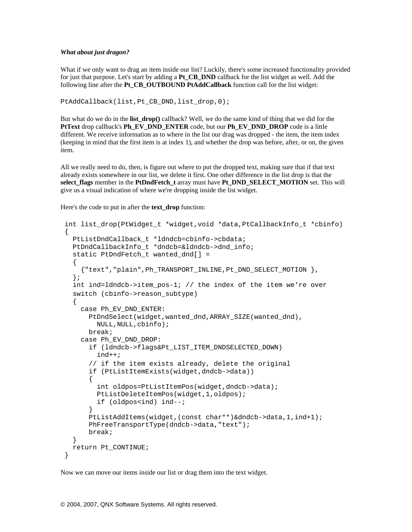## *What about just dragon?*

What if we only want to drag an item inside our list? Luckily, there's some increased functionality provided for just that purpose. Let's start by adding a **Pt\_CB\_DND** callback for the list widget as well. Add the following line after the **Pt\_CB\_OUTBOUND PtAddCallback** function call for the list widget:

PtAddCallback(list,Pt\_CB\_DND,list\_drop,0);

But what do we do in the **list\_drop()** callback? Well, we do the same kind of thing that we did for the **PtText** drop callback's **Ph\_EV\_DND\_ENTER** code, but our **Ph\_EV\_DND\_DROP** code is a little different. We receive information as to where in the list our drag was dropped - the item, the item index (keeping in mind that the first item is at index 1), and whether the drop was before, after, or on, the given item.

All we really need to do, then, is figure out where to put the dropped text, making sure that if that text already exists somewhere in our list, we delete it first. One other difference in the list drop is that the **select\_flags** member in the **PtDndFetch\_t** array must have **Pt\_DND\_SELECT\_MOTION** set. This will give us a visual indication of where we're dropping inside the list widget.

Here's the code to put in after the **text\_drop** function:

```
 int list_drop(PtWidget_t *widget,void *data,PtCallbackInfo_t *cbinfo) 
 { 
   PtListDndCallback_t *ldndcb=cbinfo->cbdata; 
   PtDndCallbackInfo_t *dndcb=&ldndcb->dnd_info; 
   static PtDndFetch_t wanted_dnd[] = 
   \left\{ \right. {"text","plain",Ph_TRANSPORT_INLINE,Pt_DND_SELECT_MOTION }, 
   }; 
    int ind=ldndcb->item_pos-1; // the index of the item we're over 
    switch (cbinfo->reason_subtype) 
    { 
      case Ph_EV_DND_ENTER: 
        PtDndSelect(widget,wanted_dnd,ARRAY_SIZE(wanted_dnd), 
          NULL,NULL,cbinfo); 
        break; 
      case Ph_EV_DND_DROP: 
        if (ldndcb->flags&Pt_LIST_ITEM_DNDSELECTED_DOWN) 
          ind++; 
        // if the item exists already, delete the original 
        if (PtListItemExists(widget,dndcb->data)) 
\{ int oldpos=PtListItemPos(widget,dndcb->data); 
          PtListDeleteItemPos(widget,1,oldpos); 
          if (oldpos<ind) ind--; 
 } 
        PtListAddItems(widget,(const char**)&dndcb->data,1,ind+1); 
        PhFreeTransportType(dndcb->data,"text"); 
        break; 
    } 
   return Pt_CONTINUE; 
 }
```
Now we can move our items inside our list or drag them into the text widget.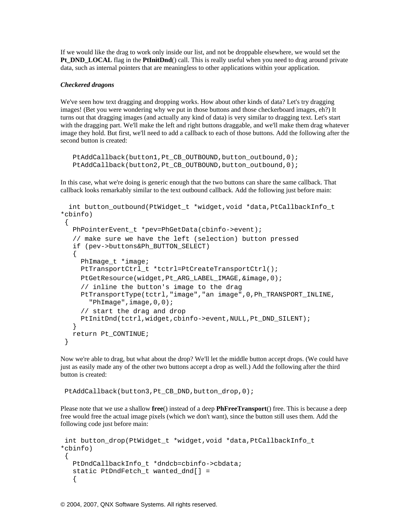If we would like the drag to work only inside our list, and not be droppable elsewhere, we would set the **Pt\_DND\_LOCAL** flag in the **PtInitDnd**() call. This is really useful when you need to drag around private data, such as internal pointers that are meaningless to other applications within your application.

# *Checkered dragons*

We've seen how text dragging and dropping works. How about other kinds of data? Let's try dragging images! (Bet you were wondering why we put in those buttons and those checkerboard images, eh?) It turns out that dragging images (and actually any kind of data) is very similar to dragging text. Let's start with the dragging part. We'll make the left and right buttons draggable, and we'll make them drag whatever image they hold. But first, we'll need to add a callback to each of those buttons. Add the following after the second button is created:

```
PtAddCallback(button1, Pt_CB_OUTBOUND, button_outbound, 0);
PtAddCallback(button2, Pt CB_OUTBOUND, button_outbound, 0);
```
In this case, what we're doing is generic enough that the two buttons can share the same callback. That callback looks remarkably similar to the text outbound callback. Add the following just before main:

```
 int button_outbound(PtWidget_t *widget,void *data,PtCallbackInfo_t 
*cbinfo) 
 { 
    PhPointerEvent_t *pev=PhGetData(cbinfo->event); 
    // make sure we have the left (selection) button pressed 
    if (pev->buttons&Ph_BUTTON_SELECT) 
    { 
      PhImage_t *image; 
      PtTransportCtrl_t *tctrl=PtCreateTransportCtrl(); 
      PtGetResource(widget,Pt_ARG_LABEL_IMAGE,&image,0); 
      // inline the button's image to the drag 
      PtTransportType(tctrl,"image","an image",0,Ph_TRANSPORT_INLINE, 
        "PhImage",image,0,0); 
      // start the drag and drop 
      PtInitDnd(tctrl,widget,cbinfo->event,NULL,Pt_DND_SILENT); 
    } 
   return Pt_CONTINUE; 
  }
```
Now we're able to drag, but what about the drop? We'll let the middle button accept drops. (We could have just as easily made any of the other two buttons accept a drop as well.) Add the following after the third button is created:

PtAddCallback(button3, Pt\_CB\_DND, button\_drop, 0);

Please note that we use a shallow **free**() instead of a deep **PhFreeTransport**() free. This is because a deep free would free the actual image pixels (which we don't want), since the button still uses them. Add the following code just before main:

```
int button drop(PtWidget t *widget,void *data,PtCallbackInfo t
*cbinfo) 
  { 
    PtDndCallbackInfo_t *dndcb=cbinfo->cbdata; 
    static PtDndFetch_t wanted_dnd[] = 
    {
```